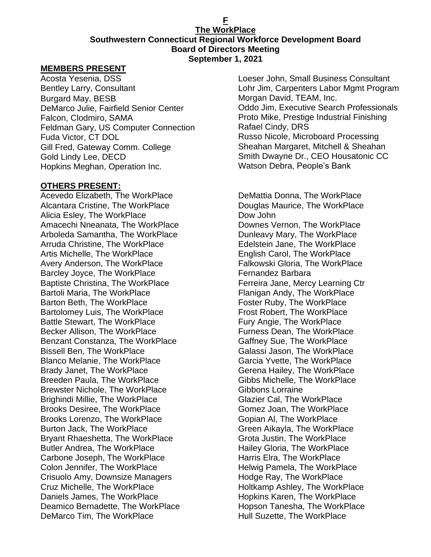#### **F The WorkPlace Southwestern Connecticut Regional Workforce Development Board Board of Directors Meeting September 1, 2021**

#### **MEMBERS PRESENT**

Acosta Yesenia, DSS Bentley Larry, Consultant Burgard May, BESB DeMarco Julie, Fairfield Senior Center Falcon, Clodmiro, SAMA Feldman Gary, US Computer Connection Fuda Victor, CT DOL Gill Fred, Gateway Comm. College Gold Lindy Lee, DECD Hopkins Meghan, Operation Inc.

#### **OTHERS PRESENT:**

Acevedo Elizabeth, The WorkPlace Alcantara Cristine, The WorkPlace Alicia Esley, The WorkPlace Amacechi Nneanata, The WorkPlace Arboleda Samantha, The WorkPlace Arruda Christine, The WorkPlace Artis Michelle, The WorkPlace Avery Anderson, The WorkPlace Barcley Joyce, The WorkPlace Baptiste Christina, The WorkPlace Bartoli Maria, The WorkPlace Barton Beth, The WorkPlace Bartolomey Luis, The WorkPlace Battle Stewart, The WorkPlace Becker Allison, The WorkPlace Benzant Constanza, The WorkPlace Bissell Ben, The WorkPlace Blanco Melanie, The WorkPlace Brady Janet, The WorkPlace Breeden Paula, The WorkPlace Brewster Nichole, The WorkPlace Brighindi Millie, The WorkPlace Brooks Desiree, The WorkPlace Brooks Lorenzo, The WorkPlace Burton Jack, The WorkPlace Bryant Rhaeshetta, The WorkPlace Butler Andrea, The WorkPlace Carbone Joseph, The WorkPlace Colon Jennifer, The WorkPlace Crisuolo Amy, Downsize Managers Cruz Michelle, The WorkPlace Daniels James, The WorkPlace Deamico Bernadette, The WorkPlace DeMarco Tim, The WorkPlace

Loeser John, Small Business Consultant Lohr Jim, Carpenters Labor Mgmt Program Morgan David, TEAM, Inc. Oddo Jim, Executive Search Professionals Proto Mike, Prestige Industrial Finishing Rafael Cindy, DRS Russo Nicole, Microboard Processing Sheahan Margaret, Mitchell & Sheahan Smith Dwayne Dr., CEO Housatonic CC Watson Debra, People's Bank

DeMattia Donna, The WorkPlace Douglas Maurice, The WorkPlace Dow John Downes Vernon, The WorkPlace Dunleavy Mary, The WorkPlace Edelstein Jane, The WorkPlace English Carol, The WorkPlace Falkowski Gloria, The WorkPlace Fernandez Barbara Ferreira Jane, Mercy Learning Ctr Flanigan Andy, The WorkPlace Foster Ruby, The WorkPlace Frost Robert, The WorkPlace Fury Angie, The WorkPlace Furness Dean, The WorkPlace Gaffney Sue, The WorkPlace Galassi Jason, The WorkPlace Garcia Yvette, The WorkPlace Gerena Hailey, The WorkPlace Gibbs Michelle, The WorkPlace Gibbons Lorraine Glazier Cal, The WorkPlace Gomez Joan, The WorkPlace Gopian Al, The WorkPlace Green Aikayla, The WorkPlace Grota Justin, The WorkPlace Hailey Gloria, The WorkPlace Harris Elra, The WorkPlace Helwig Pamela, The WorkPlace Hodge Ray, The WorkPlace Holtkamp Ashley, The WorkPlace Hopkins Karen, The WorkPlace Hopson Tanesha, The WorkPlace Hull Suzette, The WorkPlace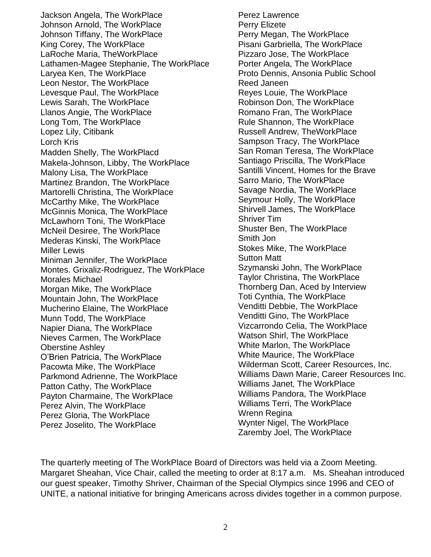Jackson Angela, The WorkPlace Johnson Arnold, The WorkPlace Johnson Tiffany, The WorkPlace King Corey, The WorkPlace LaRoche Maria, TheWorkPlace Lathamen-Magee Stephanie, The WorkPlace Laryea Ken, The WorkPlace Leon Nestor, The WorkPlace Levesque Paul, The WorkPlace Lewis Sarah, The WorkPlace Llanos Angie, The WorkPlace Long Tom, The WorkPlace Lopez Lily, Citibank Lorch Kris Madden Shelly, The WorkPlacd Makela-Johnson, Libby, The WorkPlace Malony Lisa, The WorkPlace Martinez Brandon, The WorkPlace Martorelli Christina, The WorkPlace McCarthy Mike, The WorkPlace McGinnis Monica, The WorkPlace McLawhorn Toni, The WorkPlace McNeil Desiree, The WorkPlace Mederas Kinski, The WorkPlace Miller Lewis Miniman Jennifer, The WorkPlace Montes. Grixaliz-Rodriguez, The WorkPlace Morales Michael Morgan Mike, The WorkPlace Mountain John, The WorkPlace Mucherino Elaine, The WorkPlace Munn Todd, The WorkPlace Napier Diana, The WorkPlace Nieves Carmen, The WorkPlace Oberstine Ashley O'Brien Patricia, The WorkPlace Pacowta Mike, The WorkPlace Parkmond Adrienne, The WorkPlace Patton Cathy, The WorkPlace Payton Charmaine, The WorkPlace Perez Alvin, The WorkPlace Perez Gloria, The WorkPlace Perez Joselito, The WorkPlace

Perez Lawrence Perry Elizete Perry Megan, The WorkPlace Pisani Garbriella, The WorkPlace Pizzaro Jose, The WorkPlace Porter Angela, The WorkPlace Proto Dennis, Ansonia Public School Reed Janeen Reyes Louie, The WorkPlace Robinson Don, The WorkPlace Romano Fran, The WorkPlace Rule Shannon, The WorkPlace Russell Andrew, TheWorkPlace Sampson Tracy, The WorkPlace San Roman Teresa, The WorkPlace Santiago Priscilla, The WorkPlace Santilli Vincent, Homes for the Brave Sarro Mario, The WorkPlace Savage Nordia, The WorkPlace Seymour Holly, The WorkPlace Shirvell James, The WorkPlace Shriver Tim Shuster Ben, The WorkPlace Smith Jon Stokes Mike, The WorkPlace Sutton Matt Szymanski John, The WorkPlace Taylor Christina, The WorkPlace Thornberg Dan, Aced by Interview Toti Cynthia, The WorkPlace Venditti Debbie, The WorkPlace Venditti Gino, The WorkPlace Vizcarrondo Celia, The WorkPlace Watson Shirl, The WorkPlace White Marlon, The WorkPlace White Maurice, The WorkPlace Wilderman Scott, Career Resources, Inc. Williams Dawn Marie, Career Resources Inc. Williams Janet, The WorkPlace Williams Pandora, The WorkPlace Williams Terri, The WorkPlace Wrenn Regina Wynter Nigel, The WorkPlace Zaremby Joel, The WorkPlace

The quarterly meeting of The WorkPlace Board of Directors was held via a Zoom Meeting. Margaret Sheahan, Vice Chair, called the meeting to order at 8:17 a.m. Ms. Sheahan introduced our guest speaker, Timothy Shriver, Chairman of the Special Olympics since 1996 and CEO of UNITE, a national initiative for bringing Americans across divides together in a common purpose.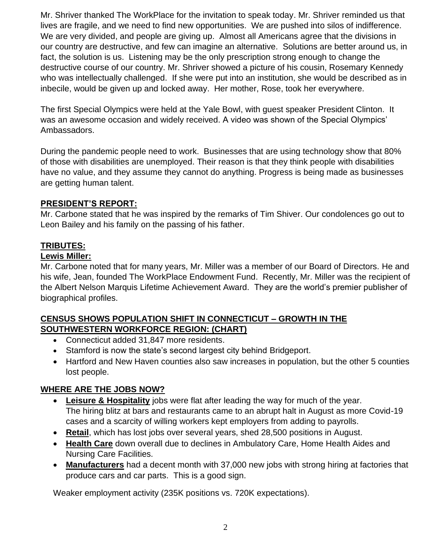Mr. Shriver thanked The WorkPlace for the invitation to speak today. Mr. Shriver reminded us that lives are fragile, and we need to find new opportunities. We are pushed into silos of indifference. We are very divided, and people are giving up. Almost all Americans agree that the divisions in our country are destructive, and few can imagine an alternative. Solutions are better around us, in fact, the solution is us. Listening may be the only prescription strong enough to change the destructive course of our country. Mr. Shriver showed a picture of his cousin, Rosemary Kennedy who was intellectually challenged. If she were put into an institution, she would be described as in inbecile, would be given up and locked away. Her mother, Rose, took her everywhere.

The first Special Olympics were held at the Yale Bowl, with guest speaker President Clinton. It was an awesome occasion and widely received. A video was shown of the Special Olympics' Ambassadors.

During the pandemic people need to work. Businesses that are using technology show that 80% of those with disabilities are unemployed. Their reason is that they think people with disabilities have no value, and they assume they cannot do anything. Progress is being made as businesses are getting human talent.

### **PRESIDENT'S REPORT:**

Mr. Carbone stated that he was inspired by the remarks of Tim Shiver. Our condolences go out to Leon Bailey and his family on the passing of his father.

# **TRIBUTES:**

### **Lewis Miller:**

Mr. Carbone noted that for many years, Mr. Miller was a member of our Board of Directors. He and his wife, Jean, founded The WorkPlace Endowment Fund. Recently, Mr. Miller was the recipient of the Albert Nelson Marquis Lifetime Achievement Award. They are the world's premier publisher of biographical profiles.

### **CENSUS SHOWS POPULATION SHIFT IN CONNECTICUT – GROWTH IN THE SOUTHWESTERN WORKFORCE REGION: (CHART)**

- Connecticut added 31,847 more residents.
- Stamford is now the state's second largest city behind Bridgeport.
- Hartford and New Haven counties also saw increases in population, but the other 5 counties lost people.

#### **WHERE ARE THE JOBS NOW?**

- **Leisure & Hospitality** jobs were flat after leading the way for much of the year. The hiring blitz at bars and restaurants came to an abrupt halt in August as more Covid-19 cases and a scarcity of willing workers kept employers from adding to payrolls.
- **Retail**, which has lost jobs over several years, shed 28,500 positions in August.
- **Health Care** down overall due to declines in Ambulatory Care, Home Health Aides and Nursing Care Facilities.
- **Manufacturers** had a decent month with 37,000 new jobs with strong hiring at factories that produce cars and car parts. This is a good sign.

Weaker employment activity (235K positions vs. 720K expectations).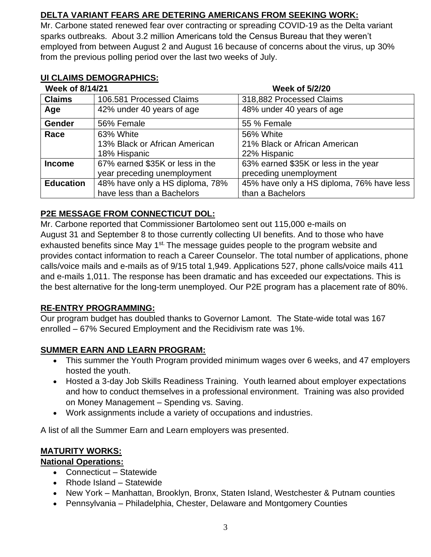# **DELTA VARIANT FEARS ARE DETERING AMERICANS FROM SEEKING WORK:**

Mr. Carbone stated renewed fear over contracting or spreading COVID-19 as the Delta variant sparks outbreaks. About 3.2 million Americans told the Census Bureau that they weren't employed from between August 2 and August 16 because of concerns about the virus, up 30% from the previous polling period over the last two weeks of July.

### **UI CLAIMS DEMOGRAPHICS:**

| Week of 8/14/21  |                                 | <b>Week of 5/2/20</b>                     |  |
|------------------|---------------------------------|-------------------------------------------|--|
| <b>Claims</b>    | 106.581 Processed Claims        | 318,882 Processed Claims                  |  |
| Age              | 42% under 40 years of age       | 48% under 40 years of age                 |  |
| <b>Gender</b>    | 56% Female                      | 55 % Female                               |  |
| Race             | 63% White                       | 56% White                                 |  |
|                  | 13% Black or African American   | 21% Black or African American             |  |
|                  | 18% Hispanic                    | 22% Hispanic                              |  |
| <b>Income</b>    | 67% earned \$35K or less in the | 63% earned \$35K or less in the year      |  |
|                  | year preceding unemployment     | preceding unemployment                    |  |
| <b>Education</b> | 48% have only a HS diploma, 78% | 45% have only a HS diploma, 76% have less |  |
|                  | have less than a Bachelors      | than a Bachelors                          |  |

## **P2E MESSAGE FROM CONNECTICUT DOL:**

Mr. Carbone reported that Commissioner Bartolomeo sent out 115,000 e-mails on August 31 and September 8 to those currently collecting UI benefits. And to those who have exhausted benefits since May 1<sup>st.</sup> The message guides people to the program website and provides contact information to reach a Career Counselor. The total number of applications, phone calls/voice mails and e-mails as of 9/15 total 1,949. Applications 527, phone calls/voice mails 411 and e-mails 1,011. The response has been dramatic and has exceeded our expectations. This is the best alternative for the long-term unemployed. Our P2E program has a placement rate of 80%.

#### **RE-ENTRY PROGRAMMING:**

Our program budget has doubled thanks to Governor Lamont. The State-wide total was 167 enrolled – 67% Secured Employment and the Recidivism rate was 1%.

## **SUMMER EARN AND LEARN PROGRAM:**

- This summer the Youth Program provided minimum wages over 6 weeks, and 47 employers hosted the youth.
- Hosted a 3-day Job Skills Readiness Training. Youth learned about employer expectations and how to conduct themselves in a professional environment. Training was also provided on Money Management – Spending vs. Saving.
- Work assignments include a variety of occupations and industries.

A list of all the Summer Earn and Learn employers was presented.

#### **MATURITY WORKS:**

#### **National Operations:**

- Connecticut Statewide
- Rhode Island Statewide
- New York Manhattan, Brooklyn, Bronx, Staten Island, Westchester & Putnam counties
- Pennsylvania Philadelphia, Chester, Delaware and Montgomery Counties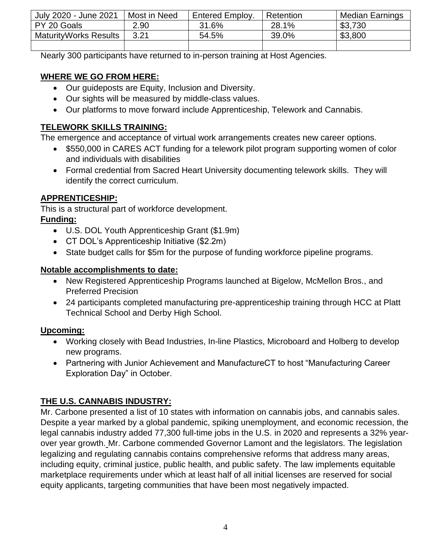| July 2020 - June 2021         | Most in Need | Entered Employ. | Retention | <b>Median Earnings</b> |
|-------------------------------|--------------|-----------------|-----------|------------------------|
| PY 20 Goals                   | 2.90         | 31.6%           | 28.1%     | \$3,730                |
| <b>Maturity Works Results</b> | 3.21         | 54.5%           | 39.0%     | \$3,800                |
|                               |              |                 |           |                        |

Nearly 300 participants have returned to in-person training at Host Agencies.

### **WHERE WE GO FROM HERE:**

- Our guideposts are Equity, Inclusion and Diversity.
- Our sights will be measured by middle-class values.
- Our platforms to move forward include Apprenticeship, Telework and Cannabis.

## **TELEWORK SKILLS TRAINING:**

The emergence and acceptance of virtual work arrangements creates new career options.

- \$550,000 in CARES ACT funding for a telework pilot program supporting women of color and individuals with disabilities
- Formal credential from Sacred Heart University documenting telework skills. They will identify the correct curriculum.

## **APPRENTICESHIP:**

This is a structural part of workforce development.

### **Funding:**

- U.S. DOL Youth Apprenticeship Grant (\$1.9m)
- CT DOL's Apprenticeship Initiative (\$2.2m)
- State budget calls for \$5m for the purpose of funding workforce pipeline programs.

## **Notable accomplishments to date:**

- New Registered Apprenticeship Programs launched at Bigelow, McMellon Bros., and Preferred Precision
- 24 participants completed manufacturing pre-apprenticeship training through HCC at Platt Technical School and Derby High School.

## **Upcoming:**

- Working closely with Bead Industries, In-line Plastics, Microboard and Holberg to develop new programs.
- Partnering with Junior Achievement and ManufactureCT to host "Manufacturing Career Exploration Day" in October.

# **THE U.S. CANNABIS INDUSTRY:**

Mr. Carbone presented a list of 10 states with information on cannabis jobs, and cannabis sales. Despite a year marked by a global pandemic, spiking unemployment, and economic recession, the legal cannabis industry added 77,300 full-time jobs in the U.S. in 2020 and represents a 32% yearover year growth. Mr. Carbone commended Governor Lamont and the legislators. The legislation legalizing and regulating cannabis contains comprehensive reforms that address many areas, including equity, criminal justice, public health, and public safety. The law implements equitable marketplace requirements under which at least half of all initial licenses are reserved for social equity applicants, targeting communities that have been most negatively impacted.